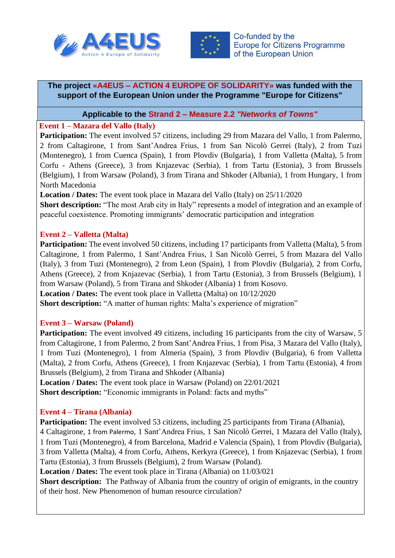



## **The project «A4EUS – ACTION 4 EUROPE OF SOLIDARITY» was funded with the support of the European Union under the Programme "Europe for Citizens"**

**Applicable to the Strand 2 – Measure 2.2** *"Networks of Towns"*

## **Event 1 – Mazara del Vallo (Italy)**

**Participation:** The event involved 57 citizens, including 29 from Mazara del Vallo, 1 from Palermo, 2 from Caltagirone, 1 from Sant'Andrea Frius, 1 from San Nicolò Gerrei (Italy), 2 from Tuzi (Montenegro), 1 from Cuenca (Spain), 1 from Plovdiv (Bulgaria), 1 from Valletta (Malta), 5 from Corfu - Athens (Greece), 3 from Knjazevac (Serbia), 1 from Tartu (Estonia), 3 from Brussels (Belgium), 1 from Warsaw (Poland), 3 from Tirana and Shkoder (Albania), 1 from Hungary, 1 from North Macedonia

**Location / Dates:** The event took place in Mazara del Vallo (Italy) on 25/11/2020

**Short description:** "The most Arab city in Italy" represents a model of integration and an example of peaceful coexistence. Promoting immigrants' democratic participation and integration

# **Event 2 – Valletta (Malta)**

**Participation:** The event involved 50 citizens, including 17 participants from Valletta (Malta), 5 from Caltagirone, 1 from Palermo, 1 Sant'Andrea Frius, 1 San Nicolò Gerrei, 5 from Mazara del Vallo (Italy), 3 from Tuzi (Montenegro), 2 from Leon (Spain), 1 from Plovdiv (Bulgaria), 2 from Corfu, Athens (Greece), 2 from Knjazevac (Serbia), 1 from Tartu (Estonia), 3 from Brussels (Belgium), 1 from Warsaw (Poland), 5 from Tirana and Shkoder (Albania) 1 from Kosovo. **Location / Dates:** The event took place in Valletta (Malta) on 10/12/2020

**Short description:** "A matter of human rights: Malta's experience of migration"

# **Event 3 – Warsaw (Poland)**

Participation: The event involved 49 citizens, including 16 participants from the city of Warsaw, 5 from Caltagirone, 1 from Palermo, 2 from Sant'Andrea Frius, 1 from Pisa, 3 Mazara del Vallo (Italy), 1 from Tuzi (Montenegro), 1 from Almeria (Spain), 3 from Plovdiv (Bulgaria), 6 from Valletta (Malta), 2 from Corfu, Athens (Greece), 1 from Knjazevac (Serbia), 1 from Tartu (Estonia), 4 from Brussels (Belgium), 2 from Tirana and Shkoder (Albania)

**Location / Dates:** The event took place in Warsaw (Poland) on 22/01/2021 **Short description:** "Economic immigrants in Poland: facts and myths"

# **Event 4 – Tirana (Albania)**

**Participation:** The event involved 53 citizens, including 25 participants from Tirana (Albania),

4 Caltagirone, 1 from Palermo, 1 Sant'Andrea Frius, 1 San Nicolò Gerrei, 1 Mazara del Vallo (Italy), 1 from Tuzi (Montenegro), 4 from Barcelona, Madrid e Valencia (Spain), 1 from Plovdiv (Bulgaria), 3 from Valletta (Malta), 4 from Corfu, Athens, Kerkyra (Greece), 1 from Knjazevac (Serbia), 1 from Tartu (Estonia), 3 from Brussels (Belgium), 2 from Warsaw (Poland).

**Location / Dates:** The event took place in Tirana (Albania) on 11/03/021

**Short description:** The Pathway of Albania from the country of origin of emigrants, in the country of their host. New Phenomenon of human resource circulation?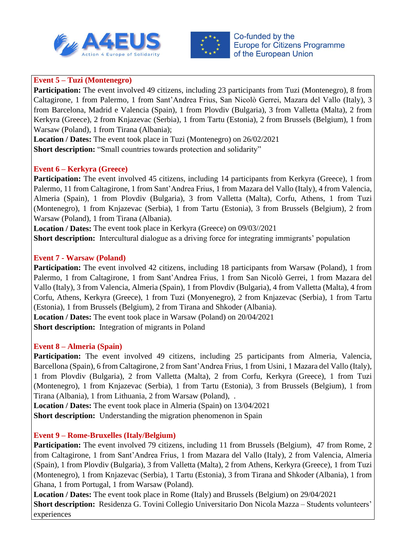



### **Event 5 – Tuzi (Montenegro)**

**Participation:** The event involved 49 citizens, including 23 participants from Tuzi (Montenegro), 8 from Caltagirone, 1 from Palermo, 1 from Sant'Andrea Frius, San Nicolò Gerrei, Mazara del Vallo (Italy), 3 from Barcelona, Madrid e Valencia (Spain), 1 from Plovdiv (Bulgaria), 3 from Valletta (Malta), 2 from Kerkyra (Greece), 2 from Knjazevac (Serbia), 1 from Tartu (Estonia), 2 from Brussels (Belgium), 1 from Warsaw (Poland), 1 from Tirana (Albania);

**Location / Dates:** The event took place in Tuzi (Montenegro) on 26/02/2021 **Short description:** "Small countries towards protection and solidarity"

## **Event 6 – Kerkyra (Greece)**

**Participation:** The event involved 45 citizens, including 14 participants from Kerkyra (Greece), 1 from Palermo, 11 from Caltagirone, 1 from Sant'Andrea Frius, 1 from Mazara del Vallo (Italy), 4 from Valencia, Almeria (Spain), 1 from Plovdiv (Bulgaria), 3 from Valletta (Malta), Corfu, Athens, 1 from Tuzi (Montenegro), 1 from Knjazevac (Serbia), 1 from Tartu (Estonia), 3 from Brussels (Belgium), 2 from Warsaw (Poland), 1 from Tirana (Albania).

**Location / Dates:** The event took place in Kerkyra (Greece) on 09/03//2021

**Short description:** Intercultural dialogue as a driving force for integrating immigrants' population

#### **Event 7 - Warsaw (Poland)**

**Participation:** The event involved 42 citizens, including 18 participants from Warsaw (Poland), 1 from Palermo, 1 from Caltagirone, 1 from Sant'Andrea Frius, 1 from San Nicolò Gerrei, 1 from Mazara del Vallo (Italy), 3 from Valencia, Almeria (Spain), 1 from Plovdiv (Bulgaria), 4 from Valletta (Malta), 4 from Corfu, Athens, Kerkyra (Greece), 1 from Tuzi (Monyenegro), 2 from Knjazevac (Serbia), 1 from Tartu (Estonia), 1 from Brussels (Belgium), 2 from Tirana and Shkoder (Albania).

**Location / Dates:** The event took place in Warsaw (Poland) on 20/04/2021

**Short description:** Integration of migrants in Poland

#### **Event 8 – Almeria (Spain)**

Participation: The event involved 49 citizens, including 25 participants from Almeria, Valencia, Barcellona (Spain), 6 from Caltagirone, 2 from Sant'Andrea Frius, 1 from Usini, 1 Mazara del Vallo (Italy), 1 from Plovdiv (Bulgaria), 2 from Valletta (Malta), 2 from Corfu, Kerkyra (Greece), 1 from Tuzi (Montenegro), 1 from Knjazevac (Serbia), 1 from Tartu (Estonia), 3 from Brussels (Belgium), 1 from Tirana (Albania), 1 from Lithuania, 2 from Warsaw (Poland), .

**Location / Dates:** The event took place in Almeria (Spain) on 13/04/2021 **Short description:** Understanding the migration phenomenon in Spain

## **Event 9 – Rome-Bruxelles (Italy/Belgium)**

**Participation:** The event involved 79 citizens, including 11 from Brussels (Belgium), 47 from Rome, 2 from Caltagirone, 1 from Sant'Andrea Frius, 1 from Mazara del Vallo (Italy), 2 from Valencia, Almeria (Spain), 1 from Plovdiv (Bulgaria), 3 from Valletta (Malta), 2 from Athens, Kerkyra (Greece), 1 from Tuzi (Montenegro), 1 from Knjazevac (Serbia), 1 Tartu (Estonia), 3 from Tirana and Shkoder (Albania), 1 from Ghana, 1 from Portugal, 1 from Warsaw (Poland).

**Location / Dates:** The event took place in Rome (Italy) and Brussels (Belgium) on 29/04/2021 **Short description:** Residenza G. Tovini Collegio Universitario Don Nicola Mazza – Students volunteers' experiences